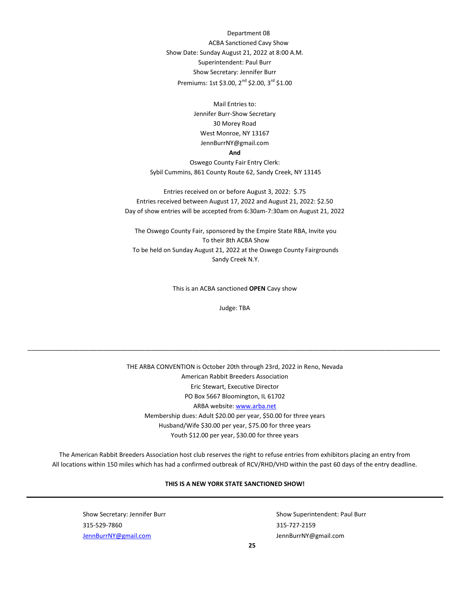Department 08 ACBA Sanctioned Cavy Show Show Date: Sunday August 21, 2022 at 8:00 A.M. Superintendent: Paul Burr Show Secretary: Jennifer Burr Premiums: 1st \$3.00, 2<sup>nd</sup> \$2.00, 3<sup>rd</sup> \$1.00

> Mail Entries to: Jennifer Burr-Show Secretary 30 Morey Road West Monroe, NY 13167 JennBurrNY@gmail.com

## **And**

Oswego County Fair Entry Clerk: Sybil Cummins, 861 County Route 62, Sandy Creek, NY 13145

Entries received on or before August 3, 2022: \$.75 Entries received between August 17, 2022 and August 21, 2022: \$2.50 Day of show entries will be accepted from 6:30am-7:30am on August 21, 2022

The Oswego County Fair, sponsored by the Empire State RBA, Invite you To their 8th ACBA Show To be held on Sunday August 21, 2022 at the Oswego County Fairgrounds Sandy Creek N.Y.

This is an ACBA sanctioned **OPEN** Cavy show

Judge: TBA

\_\_\_\_\_\_\_\_\_\_\_\_\_\_\_\_\_\_\_\_\_\_\_\_\_\_\_\_\_\_\_\_\_\_\_\_\_\_\_\_\_\_\_\_\_\_\_\_\_\_\_\_\_\_\_\_\_\_\_\_\_\_\_\_\_\_\_\_\_\_\_\_\_\_\_\_\_\_\_\_\_\_\_\_\_\_\_\_\_\_\_\_\_\_\_\_\_\_\_\_\_\_\_\_\_\_\_\_\_\_\_\_\_\_\_\_\_\_\_\_

THE ARBA CONVENTION is October 20th through 23rd, 2022 in Reno, Nevada American Rabbit Breeders Association Eric Stewart, Executive Director PO Box 5667 Bloomington, IL 61702 ARBA websit[e: www.arba.net](http://www.arba.net/) Membership dues: Adult \$20.00 per year, \$50.00 for three years Husband/Wife \$30.00 per year, \$75.00 for three years Youth \$12.00 per year, \$30.00 for three years

The American Rabbit Breeders Association host club reserves the right to refuse entries from exhibitors placing an entry from All locations within 150 miles which has had a confirmed outbreak of RCV/RHD/VHD within the past 60 days of the entry deadline.

## **THIS IS A NEW YORK STATE SANCTIONED SHOW!**

Show Secretary: Jennifer Burr Show Superintendent: Paul Burr Show Superintendent: Paul Burr 315-529-7860 315-727-2159 JennBurrNY@gmail.com JennBurrNY@gmail.com